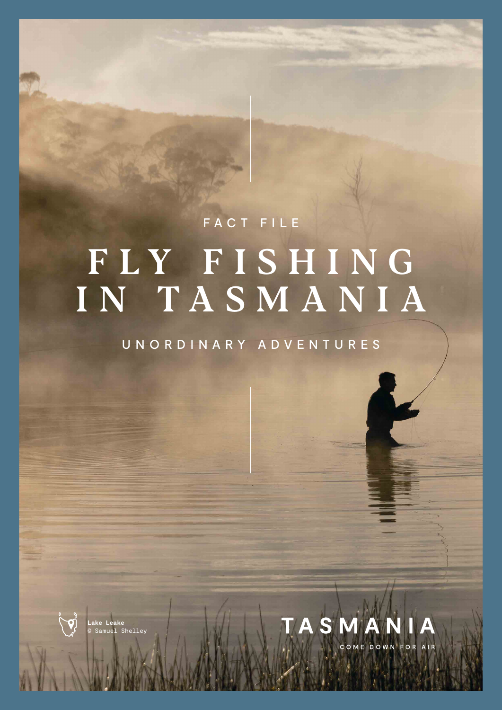# FLY FISHING IN TASMANIA FACT FILE

UNORDINARY ADVENTURES



 $\overline{O}$   $\overline{O}$  Lake Leake **Lake Leake** © Samuel Shelley

The isolation and prison and prison and prison and prison and prison and prison and prison and prison and prison conditions of Tasmania contribute to its and the task of the Tasmania contribute to its

It was the third attempt by English settlers to transport brown trout eggs to the island, and the first successful acclimatisation in

> rainbow trout, brook trout and Atlantic and Atlantic and Atlantic and Atlantic and Atlantic and Atlantic and A salmon. The private fishery at 28 gates farmstay in the Derwent Valley stocks tiger

 $\Lambda$ 

with distinctive patterning. The control of the control of the control of the control of the control of the control of the control of the control of the control of the control of the control of the control of the control o

 $\sim$  other introduced species in  $\sim$ waterways and private fisheries in the private fisheries in

status as arguably the purest strain in the world. Industry experts regard it as a challenging fish, with behaviour that's more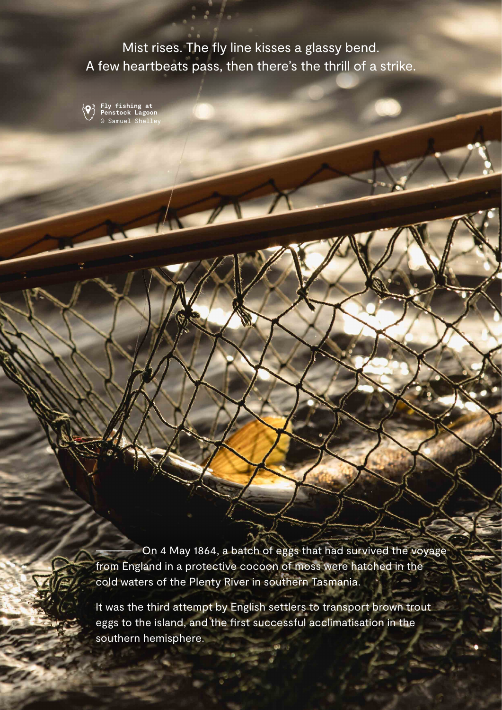Mist rises. The fly line kisses a glassy bend. A few heartbeats pass, then there's the thrill of a strike.



**Fly fishing at Penstock Lagoon** © Samuel Shelley

On 4 May 1864, a batch of eggs that had survived the voyage from England in a protective cocoon of moss were hatched in the cold waters of the Plenty River in southern Tasmania.

It was the third attempt by English settlers to transport brown trout eggs to the island, and the first successful acclimatisation in the southern hemisphere.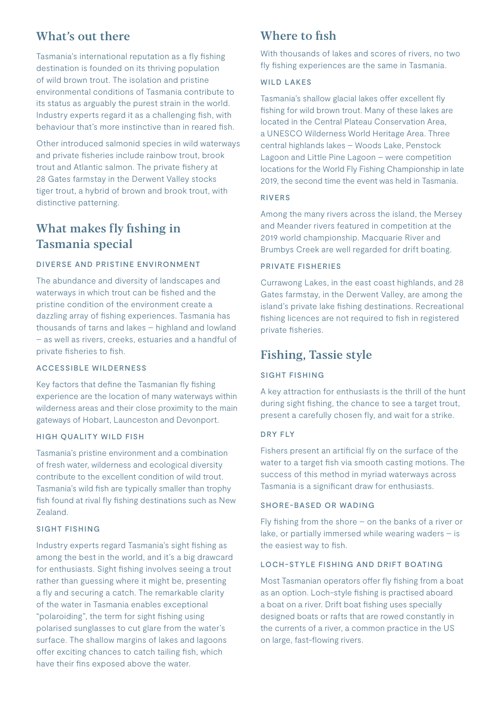## What's out there

Tasmania's international reputation as a fly fishing destination is founded on its thriving population of wild brown trout. The isolation and pristine environmental conditions of Tasmania contribute to its status as arguably the purest strain in the world. Industry experts regard it as a challenging fish, with behaviour that's more instinctive than in reared fish.

Other introduced salmonid species in wild waterways and private fisheries include rainbow trout, brook trout and Atlantic salmon. The private fishery at 28 Gates farmstay in the Derwent Valley stocks tiger trout, a hybrid of brown and brook trout, with distinctive patterning.

## What makes fly fishing in Tasmania special

#### DIVERSE AND PRISTINE ENVIRONMENT

The abundance and diversity of landscapes and waterways in which trout can be fished and the pristine condition of the environment create a dazzling array of fishing experiences. Tasmania has thousands of tarns and lakes – highland and lowland – as well as rivers, creeks, estuaries and a handful of private fisheries to fish.

#### ACCESSIBLE WILDERNESS

Key factors that define the Tasmanian fly fishing experience are the location of many waterways within wilderness areas and their close proximity to the main gateways of Hobart, Launceston and Devonport.

#### HIGH QUALITY WILD FISH

Tasmania's pristine environment and a combination of fresh water, wilderness and ecological diversity contribute to the excellent condition of wild trout. Tasmania's wild fish are typically smaller than trophy fish found at rival fly fishing destinations such as New Zealand.

#### SIGHT FISHING

Industry experts regard Tasmania's sight fishing as among the best in the world, and it's a big drawcard for enthusiasts. Sight fishing involves seeing a trout rather than guessing where it might be, presenting a fly and securing a catch. The remarkable clarity of the water in Tasmania enables exceptional "polaroiding", the term for sight fishing using polarised sunglasses to cut glare from the water's surface. The shallow margins of lakes and lagoons offer exciting chances to catch tailing fish, which have their fins exposed above the water.

## Where to fish

With thousands of lakes and scores of rivers, no two fly fishing experiences are the same in Tasmania.

#### WILD LAKES

Tasmania's shallow glacial lakes offer excellent fly fishing for wild brown trout. Many of these lakes are located in the Central Plateau Conservation Area, a UNESCO Wilderness World Heritage Area. Three central highlands lakes – Woods Lake, Penstock Lagoon and Little Pine Lagoon – were competition locations for the World Fly Fishing Championship in late 2019, the second time the event was held in Tasmania.

#### RIVERS

Among the many rivers across the island, the Mersey and Meander rivers featured in competition at the 2019 world championship. Macquarie River and Brumbys Creek are well regarded for drift boating.

#### PRIVATE FISHERIES

Currawong Lakes, in the east coast highlands, and 28 Gates farmstay, in the Derwent Valley, are among the island's private lake fishing destinations. Recreational fishing licences are not required to fish in registered private fisheries.

## Fishing, Tassie style

#### SIGHT FISHING

A key attraction for enthusiasts is the thrill of the hunt during sight fishing, the chance to see a target trout, present a carefully chosen fly, and wait for a strike.

#### DRY FLY

Fishers present an artificial fly on the surface of the water to a target fish via smooth casting motions. The success of this method in myriad waterways across Tasmania is a significant draw for enthusiasts.

#### SHORE-BASED OR WADING

Fly fishing from the shore – on the banks of a river or lake, or partially immersed while wearing waders  $-$  is the easiest way to fish.

#### LOCH-STYLE FISHING AND DRIFT BOATING

Most Tasmanian operators offer fly fishing from a boat as an option. Loch-style fishing is practised aboard a boat on a river. Drift boat fishing uses specially designed boats or rafts that are rowed constantly in the currents of a river, a common practice in the US on large, fast-flowing rivers.